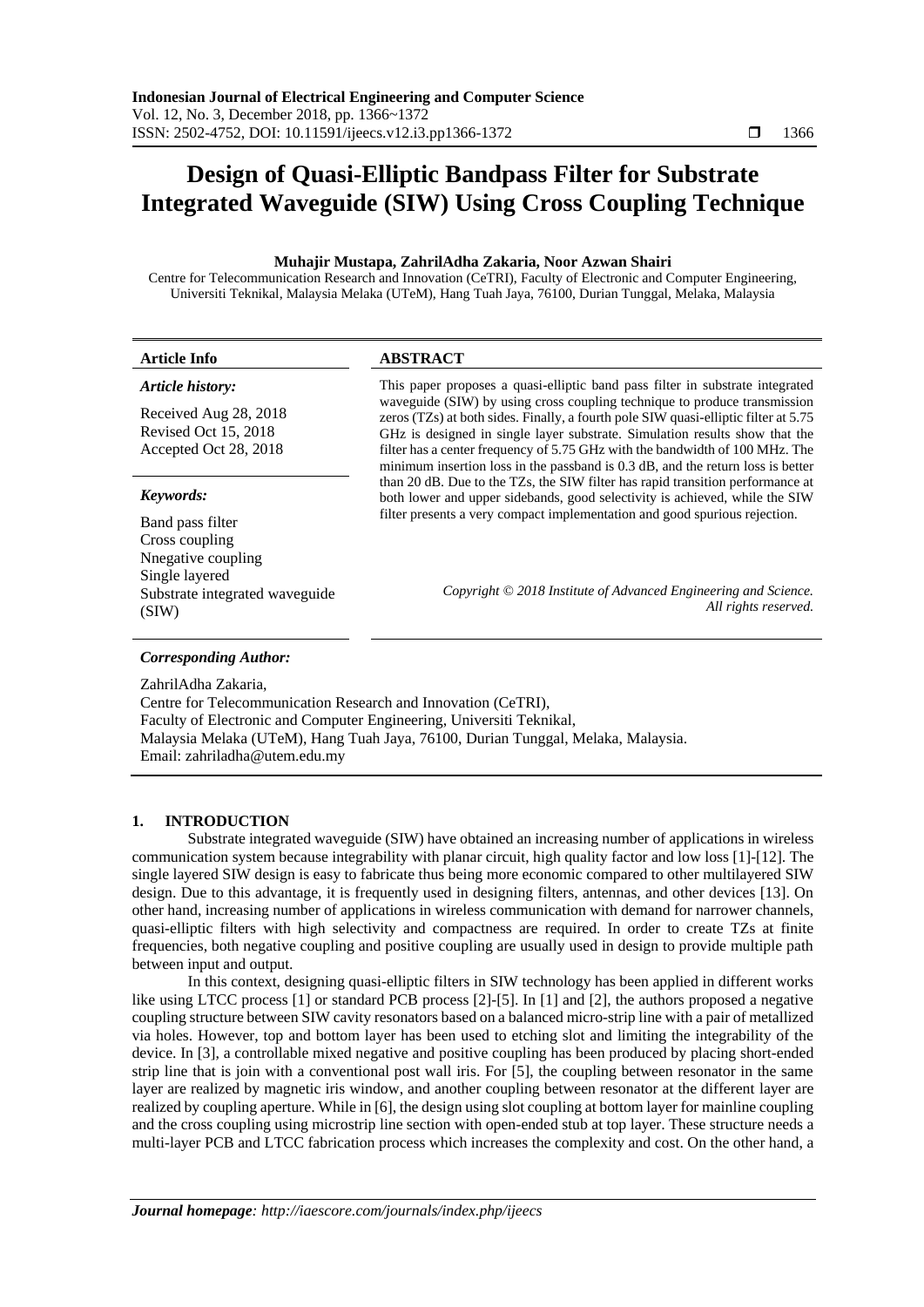# **Design of Quasi-Elliptic Bandpass Filter for Substrate Integrated Waveguide (SIW) Using Cross Coupling Technique**

# **Muhajir Mustapa, ZahrilAdha Zakaria, Noor Azwan Shairi**

Centre for Telecommunication Research and Innovation (CeTRI), Faculty of Electronic and Computer Engineering, Universiti Teknikal, Malaysia Melaka (UTeM), Hang Tuah Jaya, 76100, Durian Tunggal, Melaka, Malaysia

| <b>Article Info</b>                                                    | <b>ABSTRACT</b>                                                                                                                                                                                                                                                                                                                                                                                                    |  |
|------------------------------------------------------------------------|--------------------------------------------------------------------------------------------------------------------------------------------------------------------------------------------------------------------------------------------------------------------------------------------------------------------------------------------------------------------------------------------------------------------|--|
| Article history:                                                       | This paper proposes a quasi-elliptic band pass filter in substrate integrated                                                                                                                                                                                                                                                                                                                                      |  |
| Received Aug 28, 2018<br>Revised Oct 15, 2018<br>Accepted Oct 28, 2018 | waveguide (SIW) by using cross coupling technique to produce transmission<br>zeros (TZs) at both sides. Finally, a fourth pole SIW quasi-elliptic filter at 5.75<br>GHz is designed in single layer substrate. Simulation results show that the<br>filter has a center frequency of 5.75 GHz with the bandwidth of 100 MHz. The<br>minimum insertion loss in the passband is 0.3 dB, and the return loss is better |  |
| Keywords:                                                              | than 20 dB. Due to the TZs, the SIW filter has rapid transition performance at<br>both lower and upper sidebands, good selectivity is achieved, while the SIW                                                                                                                                                                                                                                                      |  |
| Band pass filter<br>Cross coupling<br>Nnegative coupling               | filter presents a very compact implementation and good spurious rejection.                                                                                                                                                                                                                                                                                                                                         |  |
| Single layered<br>Substrate integrated waveguide<br>(SIW)              | Copyright © 2018 Institute of Advanced Engineering and Science.<br>All rights reserved.                                                                                                                                                                                                                                                                                                                            |  |
| <b>Corresponding Author:</b>                                           |                                                                                                                                                                                                                                                                                                                                                                                                                    |  |
| ZahrilAdha Zakaria,                                                    |                                                                                                                                                                                                                                                                                                                                                                                                                    |  |

Centre for Telecommunication Research and Innovation (CeTRI), Faculty of Electronic and Computer Engineering, Universiti Teknikal, Malaysia Melaka (UTeM), Hang Tuah Jaya, 76100, Durian Tunggal, Melaka, Malaysia. Email: zahriladha@utem.edu.my

# **1. INTRODUCTION**

Substrate integrated waveguide (SIW) have obtained an increasing number of applications in wireless communication system because integrability with planar circuit, high quality factor and low loss [1]-[12]. The single layered SIW design is easy to fabricate thus being more economic compared to other multilayered SIW design. Due to this advantage, it is frequently used in designing filters, antennas, and other devices [13]. On other hand, increasing number of applications in wireless communication with demand for narrower channels, quasi-elliptic filters with high selectivity and compactness are required. In order to create TZs at finite frequencies, both negative coupling and positive coupling are usually used in design to provide multiple path between input and output.

In this context, designing quasi-elliptic filters in SIW technology has been applied in different works like using LTCC process [1] or standard PCB process [2]-[5]. In [1] and [2], the authors proposed a negative coupling structure between SIW cavity resonators based on a balanced micro-strip line with a pair of metallized via holes. However, top and bottom layer has been used to etching slot and limiting the integrability of the device. In [3], a controllable mixed negative and positive coupling has been produced by placing short-ended strip line that is join with a conventional post wall iris. For [5], the coupling between resonator in the same layer are realized by magnetic iris window, and another coupling between resonator at the different layer are realized by coupling aperture. While in [6], the design using slot coupling at bottom layer for mainline coupling and the cross coupling using microstrip line section with open-ended stub at top layer. These structure needs a multi-layer PCB and LTCC fabrication process which increases the complexity and cost. On the other hand, a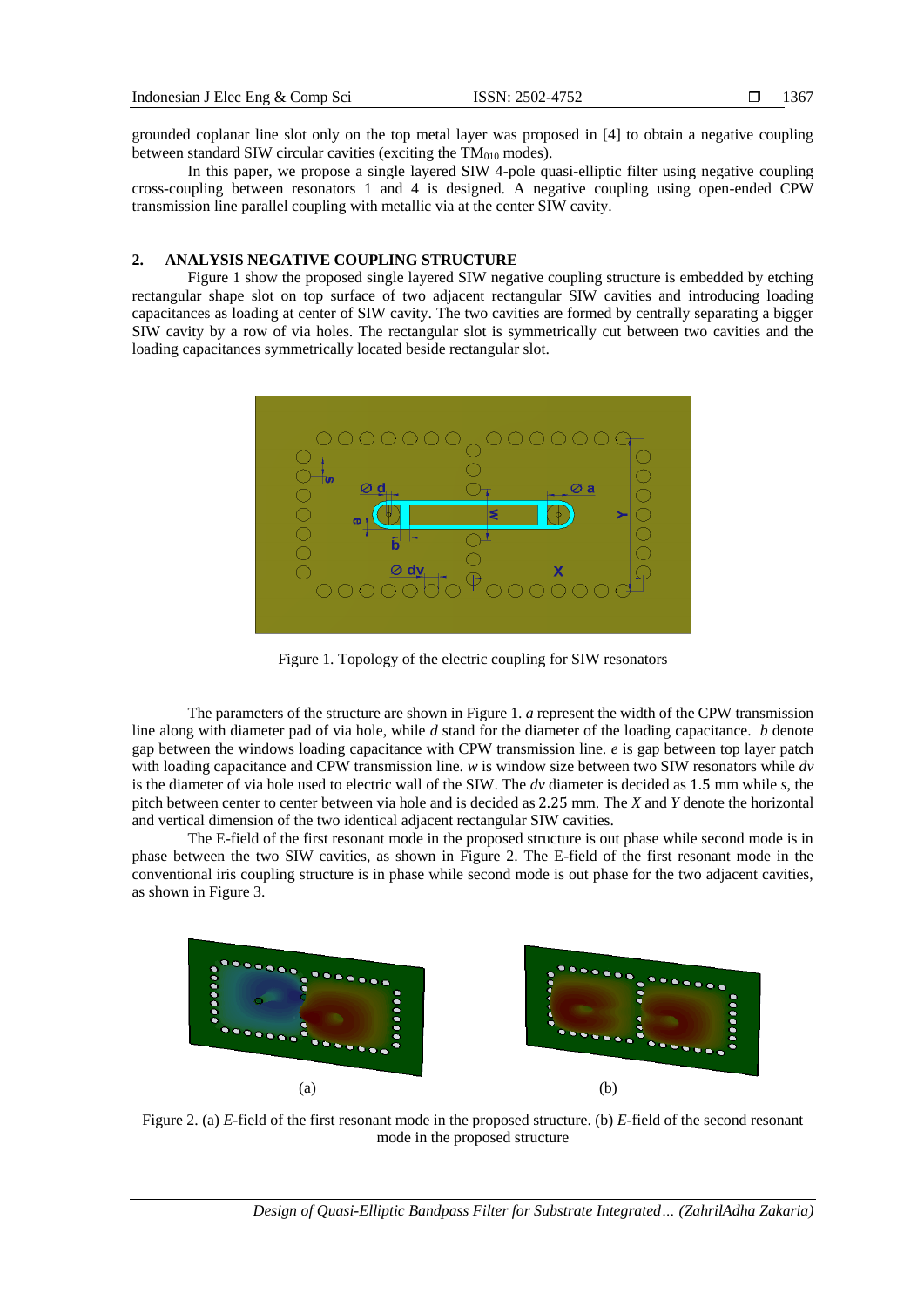grounded coplanar line slot only on the top metal layer was proposed in [4] to obtain a negative coupling between standard SIW circular cavities (exciting the  $TM<sub>010</sub>$  modes).

In this paper, we propose a single layered SIW 4-pole quasi-elliptic filter using negative coupling cross-coupling between resonators 1 and 4 is designed. A negative coupling using open-ended CPW transmission line parallel coupling with metallic via at the center SIW cavity.

## **2. ANALYSIS NEGATIVE COUPLING STRUCTURE**

Figure 1 show the proposed single layered SIW negative coupling structure is embedded by etching rectangular shape slot on top surface of two adjacent rectangular SIW cavities and introducing loading capacitances as loading at center of SIW cavity. The two cavities are formed by centrally separating a bigger SIW cavity by a row of via holes. The rectangular slot is symmetrically cut between two cavities and the loading capacitances symmetrically located beside rectangular slot.



Figure 1. Topology of the electric coupling for SIW resonators

The parameters of the structure are shown in Figure 1. *a* represent the width of the CPW transmission line along with diameter pad of via hole, while *d* stand for the diameter of the loading capacitance. *b* denote gap between the windows loading capacitance with CPW transmission line. *e* is gap between top layer patch with loading capacitance and CPW transmission line. *w* is window size between two SIW resonators while *dv* is the diameter of via hole used to electric wall of the SIW. The *dv* diameter is decided as 1.5 mm while *s*, the pitch between center to center between via hole and is decided as 2.25 mm. The *X* and *Y* denote the horizontal and vertical dimension of the two identical adjacent rectangular SIW cavities.

The E-field of the first resonant mode in the proposed structure is out phase while second mode is in phase between the two SIW cavities, as shown in Figure 2. The E-field of the first resonant mode in the conventional iris coupling structure is in phase while second mode is out phase for the two adjacent cavities, as shown in Figure 3.



Figure 2. (a) *E*-field of the first resonant mode in the proposed structure. (b) *E*-field of the second resonant mode in the proposed structure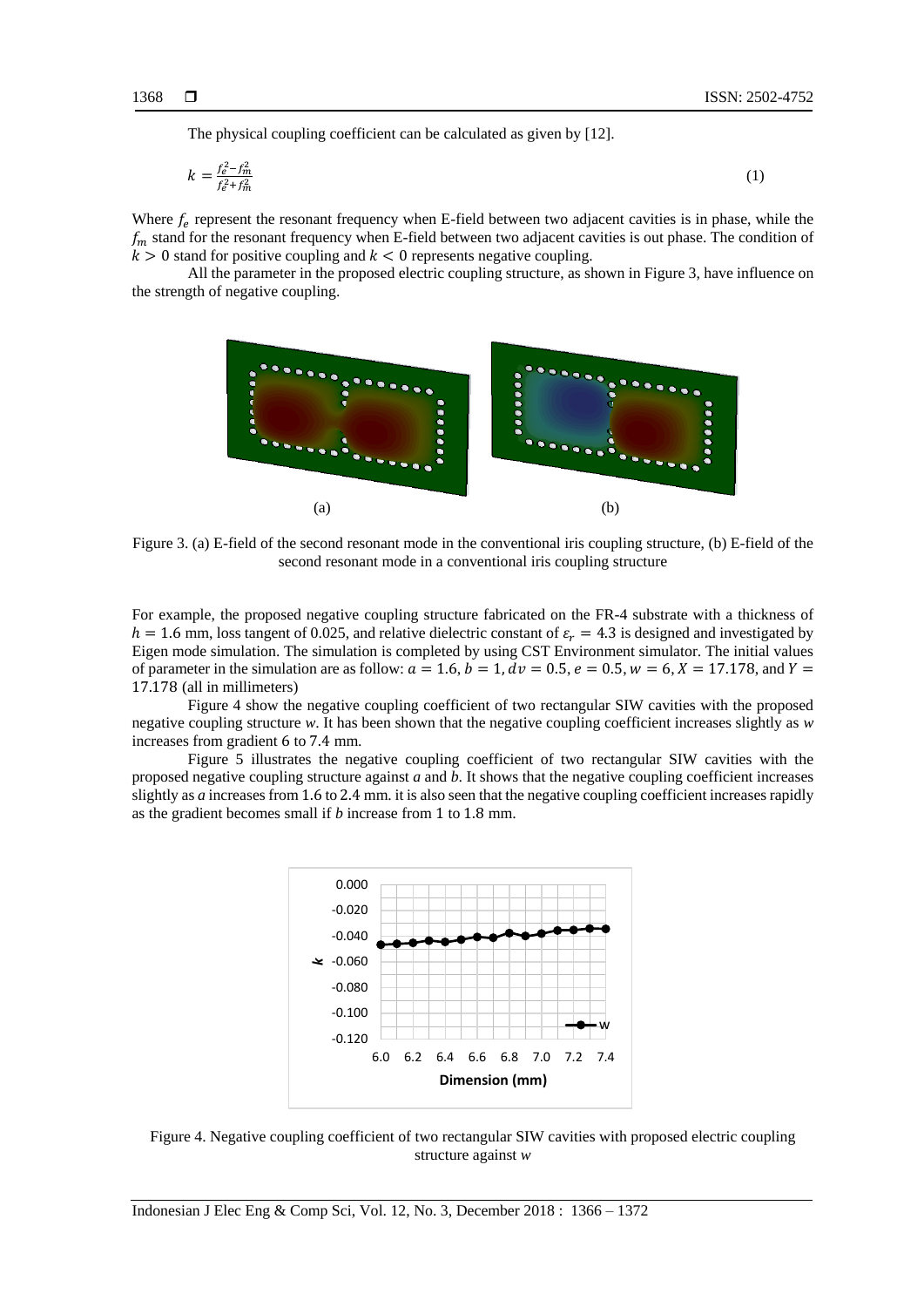The physical coupling coefficient can be calculated as given by [12].

$$
k = \frac{f_e^2 - f_m^2}{f_e^2 + f_m^2} \tag{1}
$$

Where  $f_e$  represent the resonant frequency when E-field between two adjacent cavities is in phase, while the  $f_m$  stand for the resonant frequency when E-field between two adjacent cavities is out phase. The condition of  $k > 0$  stand for positive coupling and  $k < 0$  represents negative coupling.

All the parameter in the proposed electric coupling structure, as shown in Figure 3, have influence on the strength of negative coupling.



Figure 3. (a) E-field of the second resonant mode in the conventional iris coupling structure, (b) E-field of the second resonant mode in a conventional iris coupling structure

For example, the proposed negative coupling structure fabricated on the FR-4 substrate with a thickness of  $h = 1.6$  mm, loss tangent of 0.025, and relative dielectric constant of  $\varepsilon_r = 4.3$  is designed and investigated by Eigen mode simulation. The simulation is completed by using CST Environment simulator. The initial values of parameter in the simulation are as follow:  $a = 1.6$ ,  $b = 1$ ,  $dv = 0.5$ ,  $e = 0.5$ ,  $w = 6$ ,  $X = 17.178$ , and  $Y = 1$ 17.178 (all in millimeters)

Figure 4 show the negative coupling coefficient of two rectangular SIW cavities with the proposed negative coupling structure *w*. It has been shown that the negative coupling coefficient increases slightly as *w* increases from gradient 6 to 7.4 mm.

Figure 5 illustrates the negative coupling coefficient of two rectangular SIW cavities with the proposed negative coupling structure against *a* and *b*. It shows that the negative coupling coefficient increases slightly as *a* increases from 1.6 to 2.4 mm. it is also seen that the negative coupling coefficient increases rapidly as the gradient becomes small if *b* increase from 1 to 1.8 mm.



Figure 4. Negative coupling coefficient of two rectangular SIW cavities with proposed electric coupling structure against *w*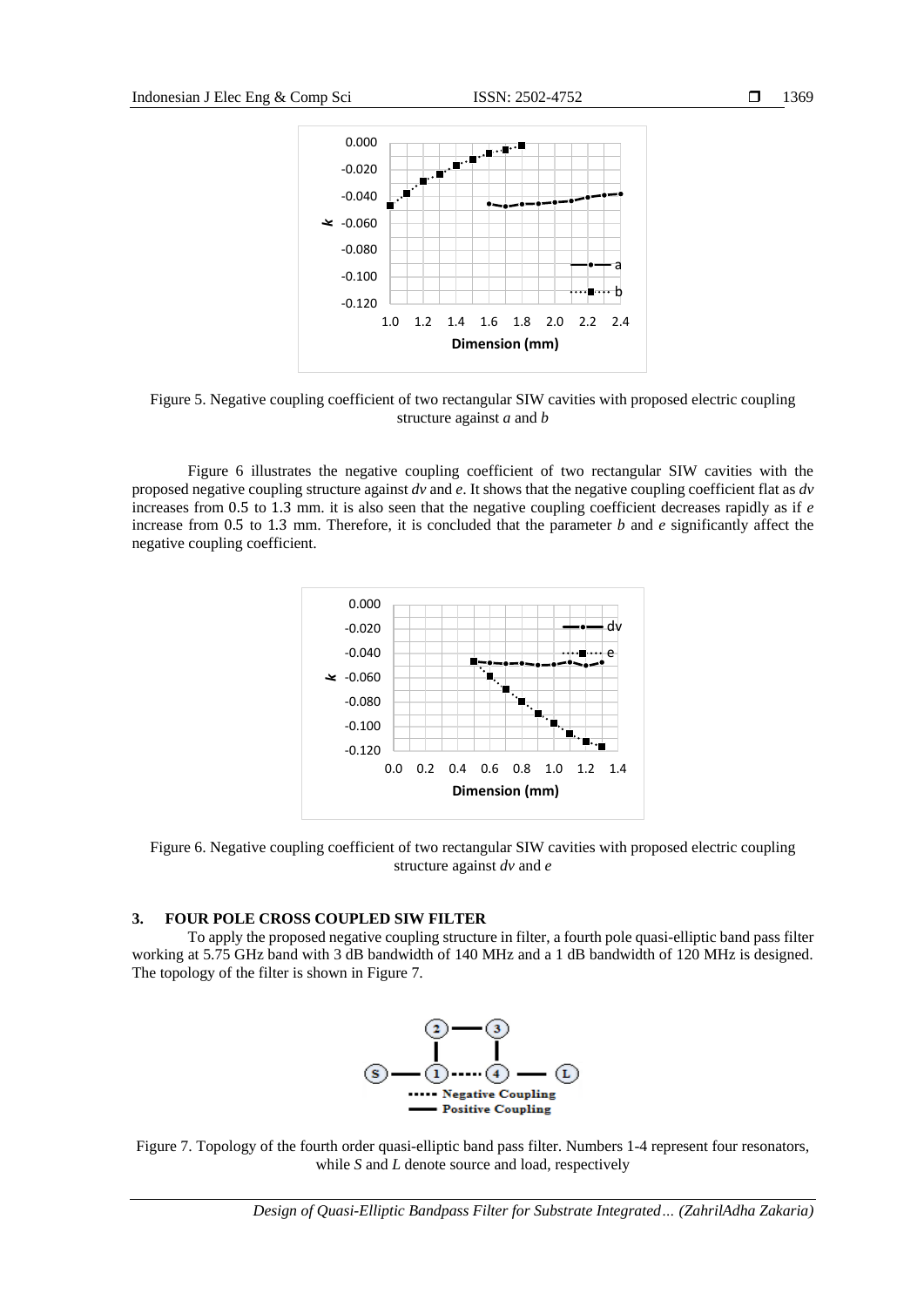

Figure 5. Negative coupling coefficient of two rectangular SIW cavities with proposed electric coupling structure against *a* and *b*

Figure 6 illustrates the negative coupling coefficient of two rectangular SIW cavities with the proposed negative coupling structure against *dv* and *e*. It shows that the negative coupling coefficient flat as *dv* increases from 0.5 to 1.3 mm. it is also seen that the negative coupling coefficient decreases rapidly as if *e* increase from 0.5 to 1.3 mm. Therefore, it is concluded that the parameter *b* and *e* significantly affect the negative coupling coefficient.



Figure 6. Negative coupling coefficient of two rectangular SIW cavities with proposed electric coupling structure against *dv* and *e*

### **3. FOUR POLE CROSS COUPLED SIW FILTER**

To apply the proposed negative coupling structure in filter, a fourth pole quasi-elliptic band pass filter working at 5.75 GHz band with 3 dB bandwidth of 140 MHz and a 1 dB bandwidth of 120 MHz is designed. The topology of the filter is shown in Figure 7.



Figure 7. Topology of the fourth order quasi-elliptic band pass filter. Numbers 1-4 represent four resonators, while *S* and *L* denote source and load, respectively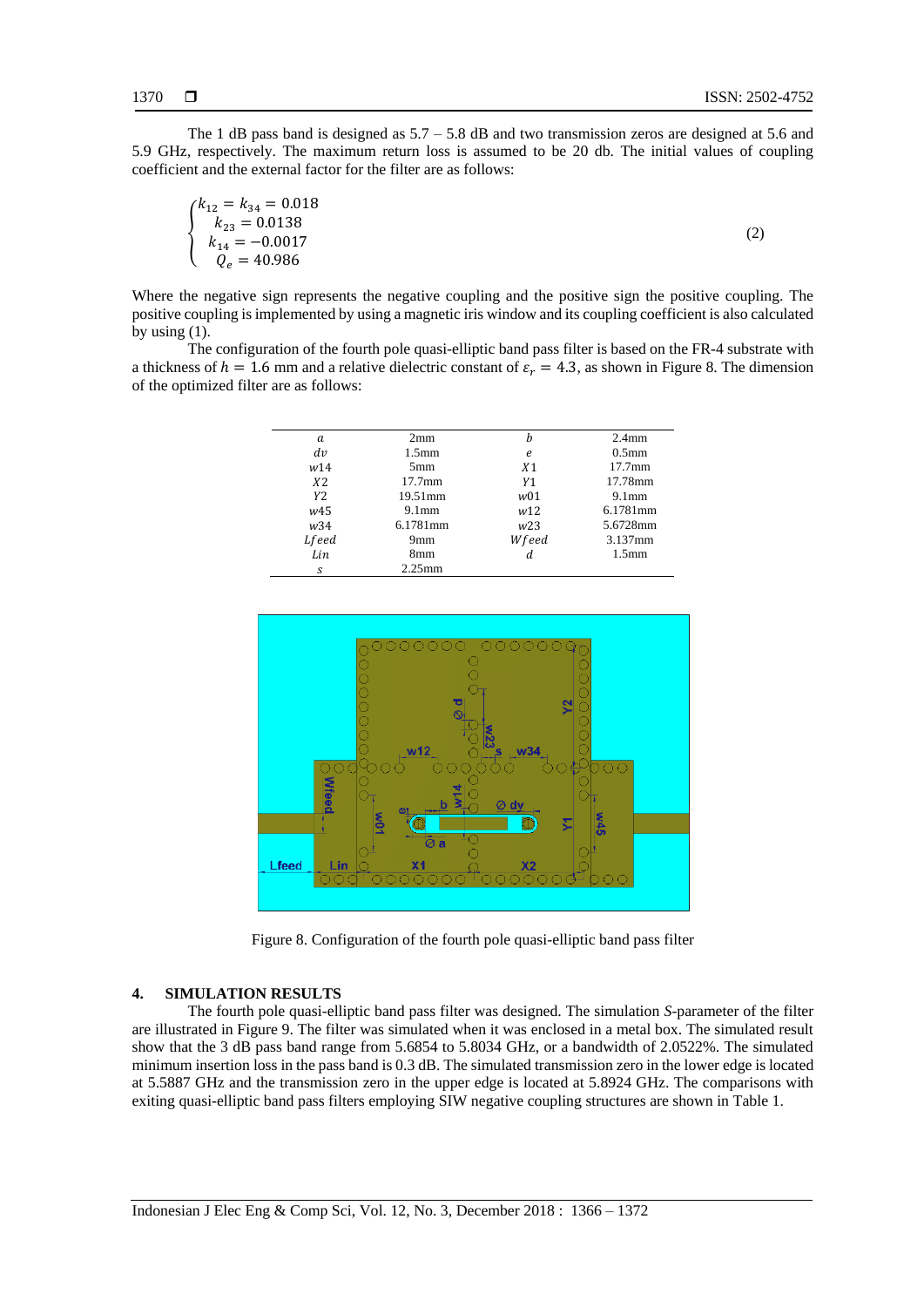(2)

The 1 dB pass band is designed as  $5.7 - 5.8$  dB and two transmission zeros are designed at 5.6 and 5.9 GHz, respectively. The maximum return loss is assumed to be 20 db. The initial values of coupling coefficient and the external factor for the filter are as follows:

$$
\begin{cases}\nk_{12} = k_{34} = 0.018 \\
k_{23} = 0.0138 \\
k_{14} = -0.0017 \\
Q_e = 40.986\n\end{cases}
$$

Where the negative sign represents the negative coupling and the positive sign the positive coupling. The positive coupling is implemented by using a magnetic iris window and its coupling coefficient is also calculated by using  $(1)$ .

The configuration of the fourth pole quasi-elliptic band pass filter is based on the FR-4 substrate with a thickness of  $h = 1.6$  mm and a relative dielectric constant of  $\varepsilon_r = 4.3$ , as shown in Figure 8. The dimension of the optimized filter are as follows:

| a            | 2mm                | h               | 2.4 <sub>mm</sub>  |
|--------------|--------------------|-----------------|--------------------|
| dv           | 1.5 <sub>mm</sub>  | e               | 0.5 <sub>mm</sub>  |
| w14          | 5mm                | X <sub>1</sub>  | 17.7 <sub>mm</sub> |
| <i>X</i> 2   | 17.7 <sub>mm</sub> | Y1              | 17.78mm            |
| Y2.          | 19.51mm            | w01             | 9.1 <sub>mm</sub>  |
| w45          | 9.1 <sub>mm</sub>  | w12             | 6.1781mm           |
| w34          | 6.1781mm           | W <sub>23</sub> | 5.6728mm           |
| <i>Lfeed</i> | 9mm                | Wfeed           | 3.137mm            |
| Lin          | 8mm                |                 | 1.5 <sub>mm</sub>  |
| S            | $2.25$ mm          |                 |                    |



Figure 8. Configuration of the fourth pole quasi-elliptic band pass filter

## **4. SIMULATION RESULTS**

The fourth pole quasi-elliptic band pass filter was designed. The simulation *S*-parameter of the filter are illustrated in Figure 9. The filter was simulated when it was enclosed in a metal box. The simulated result show that the 3 dB pass band range from 5.6854 to 5.8034 GHz, or a bandwidth of 2.0522%. The simulated minimum insertion loss in the pass band is 0.3 dB. The simulated transmission zero in the lower edge is located at 5.5887 GHz and the transmission zero in the upper edge is located at 5.8924 GHz. The comparisons with exiting quasi-elliptic band pass filters employing SIW negative coupling structures are shown in Table 1.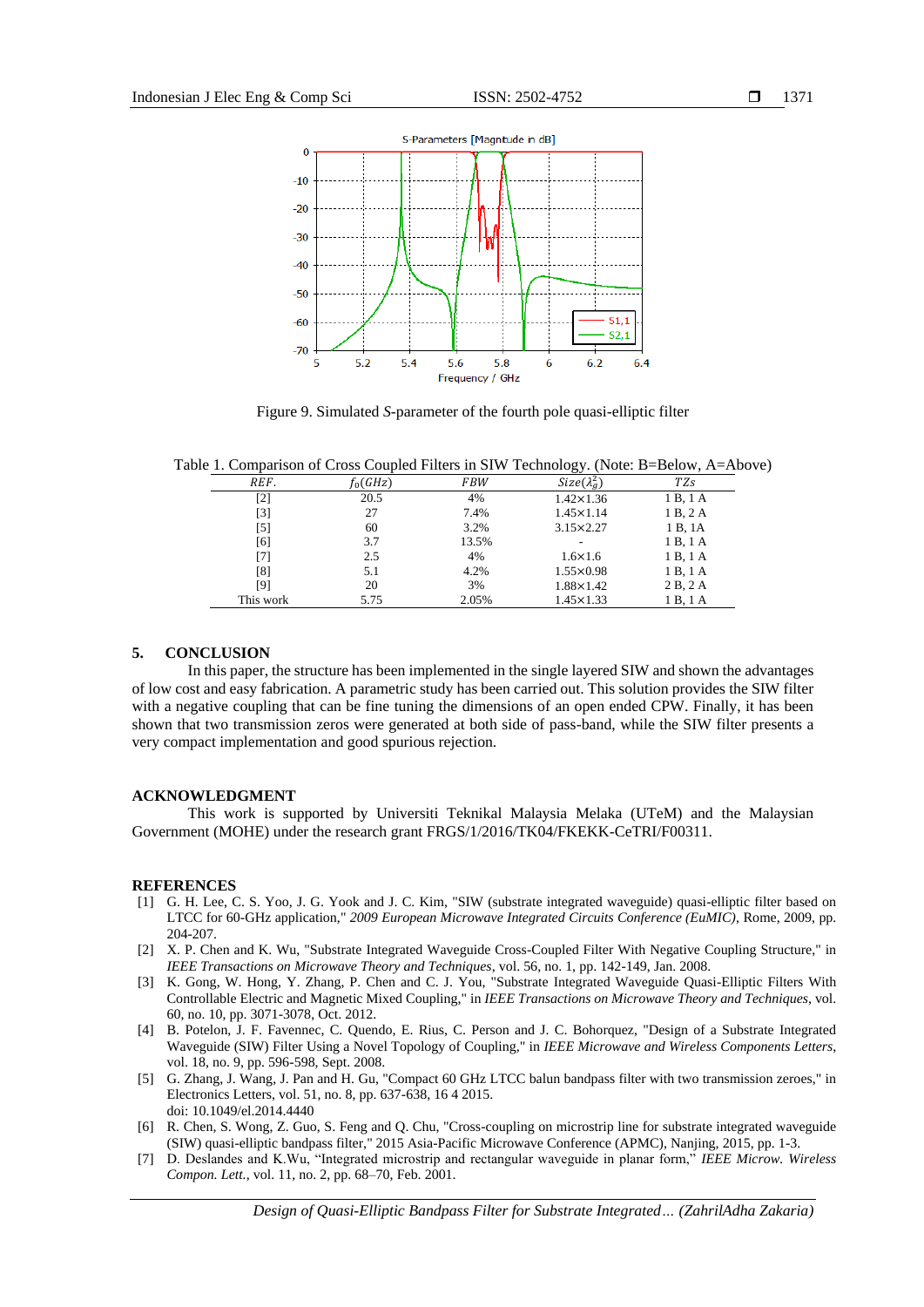

Figure 9. Simulated *S*-parameter of the fourth pole quasi-elliptic filter

Frequency / GHz

Table 1. Comparison of Cross Coupled Filters in SIW Technology. (Note: B=Below, A=Above)

|           |            |            | $\sim$              |                 |
|-----------|------------|------------|---------------------|-----------------|
| REF.      | $f_0(GHz)$ | <b>FBW</b> | $Size(\lambda_a^2)$ | TZ <sub>s</sub> |
| [2]       | 20.5       | 4%         | $1.42 \times 1.36$  | 1 B, 1 A        |
| $[3]$     | 27         | 7.4%       | $1.45 \times 1.14$  | 1 B, 2 A        |
| [5]       | 60         | 3.2%       | $3.15 \times 2.27$  | 1 B, 1A         |
| [6]       | 3.7        | 13.5%      |                     | 1 B, 1 A        |
| [7]       | 2.5        | 4%         | $1.6 \times 1.6$    | 1 B, 1 A        |
| [8]       | 5.1        | 4.2%       | $1.55 \times 0.98$  | 1 B, 1 A        |
| [9]       | 20         | 3%         | $1.88 \times 1.42$  | 2B, 2A          |
| This work | 5.75       | 2.05%      | $1.45 \times 1.33$  | 1 B, 1 A        |

## **5. CONCLUSION**

In this paper, the structure has been implemented in the single layered SIW and shown the advantages of low cost and easy fabrication. A parametric study has been carried out. This solution provides the SIW filter with a negative coupling that can be fine tuning the dimensions of an open ended CPW. Finally, it has been shown that two transmission zeros were generated at both side of pass-band, while the SIW filter presents a very compact implementation and good spurious rejection.

#### **ACKNOWLEDGMENT**

This work is supported by Universiti Teknikal Malaysia Melaka (UTeM) and the Malaysian Government (MOHE) under the research grant FRGS/1/2016/TK04/FKEKK-CeTRI/F00311.

#### **REFERENCES**

- [1] G. H. Lee, C. S. Yoo, J. G. Yook and J. C. Kim, "SIW (substrate integrated waveguide) quasi-elliptic filter based on LTCC for 60-GHz application," *2009 European Microwave Integrated Circuits Conference (EuMIC)*, Rome, 2009, pp. 204-207.
- [2] X. P. Chen and K. Wu, "Substrate Integrated Waveguide Cross-Coupled Filter With Negative Coupling Structure," in *IEEE Transactions on Microwave Theory and Techniques*, vol. 56, no. 1, pp. 142-149, Jan. 2008.
- [3] K. Gong, W. Hong, Y. Zhang, P. Chen and C. J. You, "Substrate Integrated Waveguide Quasi-Elliptic Filters With Controllable Electric and Magnetic Mixed Coupling," in *IEEE Transactions on Microwave Theory and Techniques*, vol. 60, no. 10, pp. 3071-3078, Oct. 2012.
- [4] B. Potelon, J. F. Favennec, C. Quendo, E. Rius, C. Person and J. C. Bohorquez, "Design of a Substrate Integrated Waveguide (SIW) Filter Using a Novel Topology of Coupling," in *IEEE Microwave and Wireless Components Letters*, vol. 18, no. 9, pp. 596-598, Sept. 2008.
- [5] G. Zhang, J. Wang, J. Pan and H. Gu, "Compact 60 GHz LTCC balun bandpass filter with two transmission zeroes," in Electronics Letters, vol. 51, no. 8, pp. 637-638, 16 4 2015. doi: 10.1049/el.2014.4440
- [6] R. Chen, S. Wong, Z. Guo, S. Feng and Q. Chu, "Cross-coupling on microstrip line for substrate integrated waveguide (SIW) quasi-elliptic bandpass filter," 2015 Asia-Pacific Microwave Conference (APMC), Nanjing, 2015, pp. 1-3.
- [7] D. Deslandes and K.Wu, "Integrated microstrip and rectangular waveguide in planar form," *IEEE Microw. Wireless Compon. Lett.*, vol. 11, no. 2, pp. 68–70, Feb. 2001.